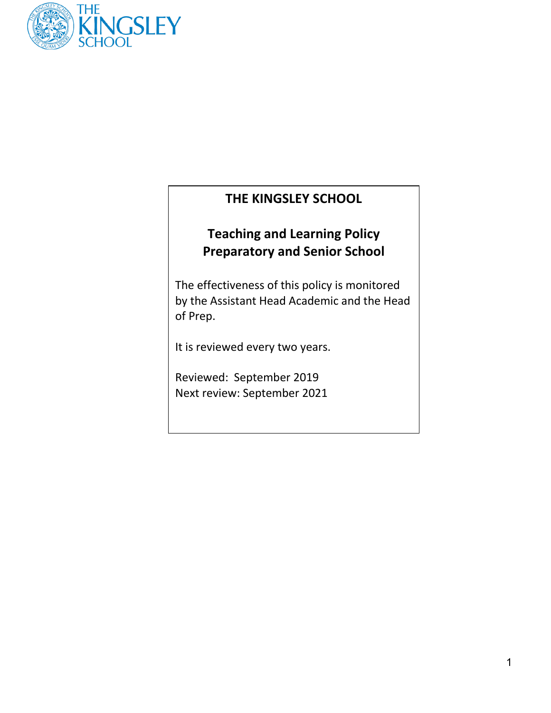

# **THE KINGSLEY SCHOOL**

# **Teaching and Learning Policy Preparatory and Senior School**

The effectiveness of this policy is monitored by the Assistant Head Academic and the Head of Prep.

It is reviewed every two years.

Reviewed: September 2019 Next review: September 2021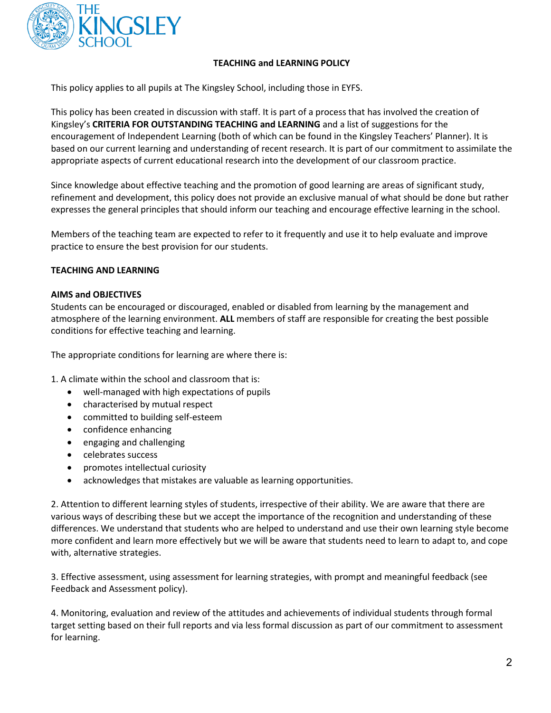

# **TEACHING and LEARNING POLICY**

This policy applies to all pupils at The Kingsley School, including those in EYFS.

This policy has been created in discussion with staff. It is part of a process that has involved the creation of Kingsley's **CRITERIA FOR OUTSTANDING TEACHING and LEARNING** and a list of suggestions for the encouragement of Independent Learning (both of which can be found in the Kingsley Teachers' Planner). It is based on our current learning and understanding of recent research. It is part of our commitment to assimilate the appropriate aspects of current educational research into the development of our classroom practice.

Since knowledge about effective teaching and the promotion of good learning are areas of significant study, refinement and development, this policy does not provide an exclusive manual of what should be done but rather expresses the general principles that should inform our teaching and encourage effective learning in the school.

Members of the teaching team are expected to refer to it frequently and use it to help evaluate and improve practice to ensure the best provision for our students.

# **TEACHING AND LEARNING**

# **AIMS and OBJECTIVES**

Students can be encouraged or discouraged, enabled or disabled from learning by the management and atmosphere of the learning environment. **ALL** members of staff are responsible for creating the best possible conditions for effective teaching and learning.

The appropriate conditions for learning are where there is:

1. A climate within the school and classroom that is:

- well-managed with high expectations of pupils
- characterised by mutual respect
- committed to building self-esteem
- confidence enhancing
- engaging and challenging
- celebrates success
- promotes intellectual curiosity
- acknowledges that mistakes are valuable as learning opportunities.

2. Attention to different learning styles of students, irrespective of their ability. We are aware that there are various ways of describing these but we accept the importance of the recognition and understanding of these differences. We understand that students who are helped to understand and use their own learning style become more confident and learn more effectively but we will be aware that students need to learn to adapt to, and cope with, alternative strategies.

3. Effective assessment, using assessment for learning strategies, with prompt and meaningful feedback (see Feedback and Assessment policy).

4. Monitoring, evaluation and review of the attitudes and achievements of individual students through formal target setting based on their full reports and via less formal discussion as part of our commitment to assessment for learning.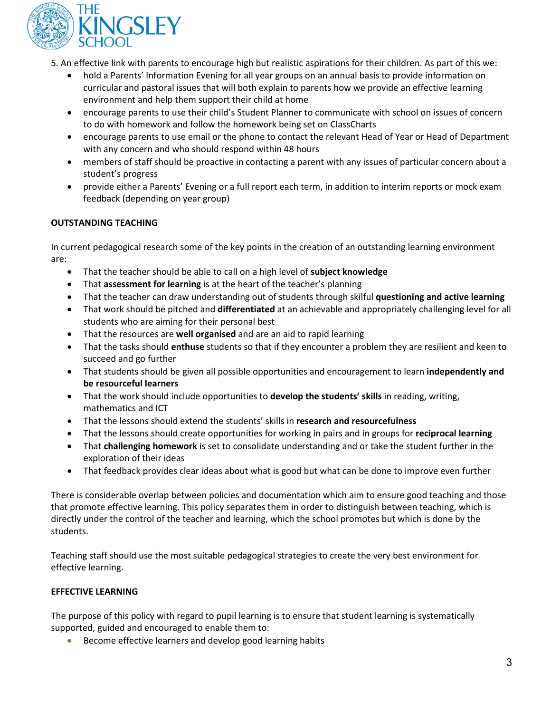

5. An effective link with parents to encourage high but realistic aspirations for their children. As part of this we:

- hold a Parents' Information Evening for all year groups on an annual basis to provide information on curricular and pastoral issues that will both explain to parents how we provide an effective learning environment and help them support their child at home
- encourage parents to use their child's Student Planner to communicate with school on issues of concern to do with homework and follow the homework being set on ClassCharts
- encourage parents to use email or the phone to contact the relevant Head of Year or Head of Department with any concern and who should respond within 48 hours
- members of staff should be proactive in contacting a parent with any issues of particular concern about a student's progress
- provide either a Parents' Evening or a full report each term, in addition to interim reports or mock exam feedback (depending on year group)

# **OUTSTANDING TEACHING**

In current pedagogical research some of the key points in the creation of an outstanding learning environment are:

- That the teacher should be able to call on a high level of **subject knowledge**
- That **assessment for learning** is at the heart of the teacher's planning
- That the teacher can draw understanding out of students through skilful **questioning and active learning**
- That work should be pitched and **differentiated** at an achievable and appropriately challenging level for all students who are aiming for their personal best
- That the resources are **well organised** and are an aid to rapid learning
- That the tasks should **enthuse** students so that if they encounter a problem they are resilient and keen to succeed and go further
- That students should be given all possible opportunities and encouragement to learn **independently and be resourceful learners**
- That the work should include opportunities to **develop the students' skills** in reading, writing, mathematics and ICT
- That the lessons should extend the students' skills in **research and resourcefulness**
- That the lessons should create opportunities for working in pairs and in groups for **reciprocal learning**
- That **challenging homework** is set to consolidate understanding and or take the student further in the exploration of their ideas
- That feedback provides clear ideas about what is good but what can be done to improve even further

There is considerable overlap between policies and documentation which aim to ensure good teaching and those that promote effective learning. This policy separates them in order to distinguish between teaching, which is directly under the control of the teacher and learning, which the school promotes but which is done by the students.

Teaching staff should use the most suitable pedagogical strategies to create the very best environment for effective learning.

# **EFFECTIVE LEARNING**

The purpose of this policy with regard to pupil learning is to ensure that student learning is systematically supported, guided and encouraged to enable them to:

• Become effective learners and develop good learning habits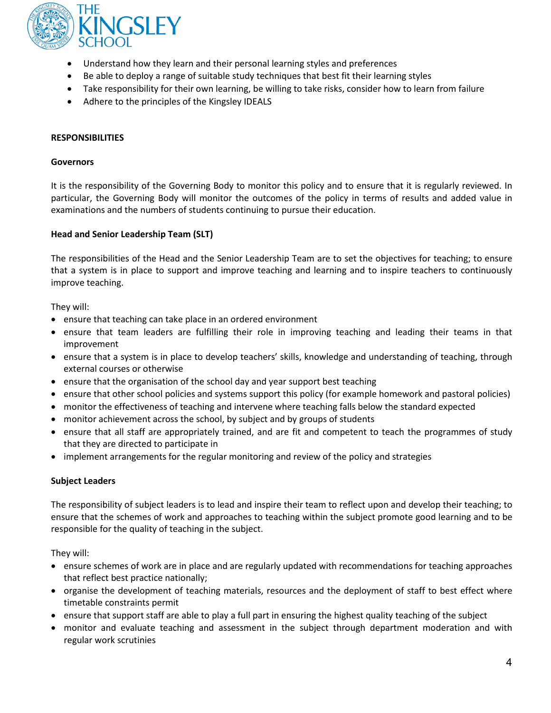

- Understand how they learn and their personal learning styles and preferences
- Be able to deploy a range of suitable study techniques that best fit their learning styles
- Take responsibility for their own learning, be willing to take risks, consider how to learn from failure
- Adhere to the principles of the Kingsley IDEALS

#### **RESPONSIBILITIES**

#### **Governors**

It is the responsibility of the Governing Body to monitor this policy and to ensure that it is regularly reviewed. In particular, the Governing Body will monitor the outcomes of the policy in terms of results and added value in examinations and the numbers of students continuing to pursue their education.

#### **Head and Senior Leadership Team (SLT)**

The responsibilities of the Head and the Senior Leadership Team are to set the objectives for teaching; to ensure that a system is in place to support and improve teaching and learning and to inspire teachers to continuously improve teaching.

They will:

- ensure that teaching can take place in an ordered environment
- ensure that team leaders are fulfilling their role in improving teaching and leading their teams in that improvement
- ensure that a system is in place to develop teachers' skills, knowledge and understanding of teaching, through external courses or otherwise
- ensure that the organisation of the school day and year support best teaching
- ensure that other school policies and systems support this policy (for example homework and pastoral policies)
- monitor the effectiveness of teaching and intervene where teaching falls below the standard expected
- monitor achievement across the school, by subject and by groups of students
- ensure that all staff are appropriately trained, and are fit and competent to teach the programmes of study that they are directed to participate in
- implement arrangements for the regular monitoring and review of the policy and strategies

#### **Subject Leaders**

The responsibility of subject leaders is to lead and inspire their team to reflect upon and develop their teaching; to ensure that the schemes of work and approaches to teaching within the subject promote good learning and to be responsible for the quality of teaching in the subject.

They will:

- ensure schemes of work are in place and are regularly updated with recommendations for teaching approaches that reflect best practice nationally;
- organise the development of teaching materials, resources and the deployment of staff to best effect where timetable constraints permit
- ensure that support staff are able to play a full part in ensuring the highest quality teaching of the subject
- monitor and evaluate teaching and assessment in the subject through department moderation and with regular work scrutinies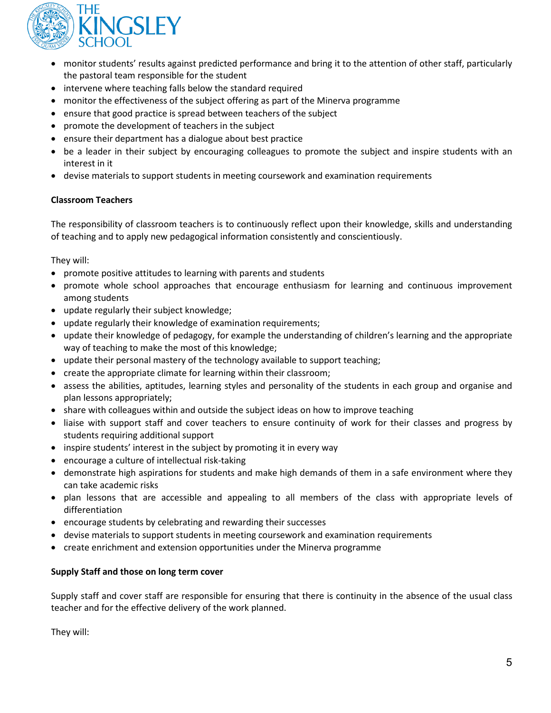

- monitor students' results against predicted performance and bring it to the attention of other staff, particularly the pastoral team responsible for the student
- intervene where teaching falls below the standard required
- monitor the effectiveness of the subject offering as part of the Minerva programme
- ensure that good practice is spread between teachers of the subject
- promote the development of teachers in the subject
- ensure their department has a dialogue about best practice
- be a leader in their subject by encouraging colleagues to promote the subject and inspire students with an interest in it
- devise materials to support students in meeting coursework and examination requirements

# **Classroom Teachers**

The responsibility of classroom teachers is to continuously reflect upon their knowledge, skills and understanding of teaching and to apply new pedagogical information consistently and conscientiously.

They will:

- promote positive attitudes to learning with parents and students
- promote whole school approaches that encourage enthusiasm for learning and continuous improvement among students
- update regularly their subject knowledge;
- update regularly their knowledge of examination requirements;
- update their knowledge of pedagogy, for example the understanding of children's learning and the appropriate way of teaching to make the most of this knowledge;
- update their personal mastery of the technology available to support teaching;
- create the appropriate climate for learning within their classroom;
- assess the abilities, aptitudes, learning styles and personality of the students in each group and organise and plan lessons appropriately;
- share with colleagues within and outside the subject ideas on how to improve teaching
- liaise with support staff and cover teachers to ensure continuity of work for their classes and progress by students requiring additional support
- inspire students' interest in the subject by promoting it in every way
- encourage a culture of intellectual risk-taking
- demonstrate high aspirations for students and make high demands of them in a safe environment where they can take academic risks
- plan lessons that are accessible and appealing to all members of the class with appropriate levels of differentiation
- encourage students by celebrating and rewarding their successes
- devise materials to support students in meeting coursework and examination requirements
- create enrichment and extension opportunities under the Minerva programme

# **Supply Staff and those on long term cover**

Supply staff and cover staff are responsible for ensuring that there is continuity in the absence of the usual class teacher and for the effective delivery of the work planned.

They will: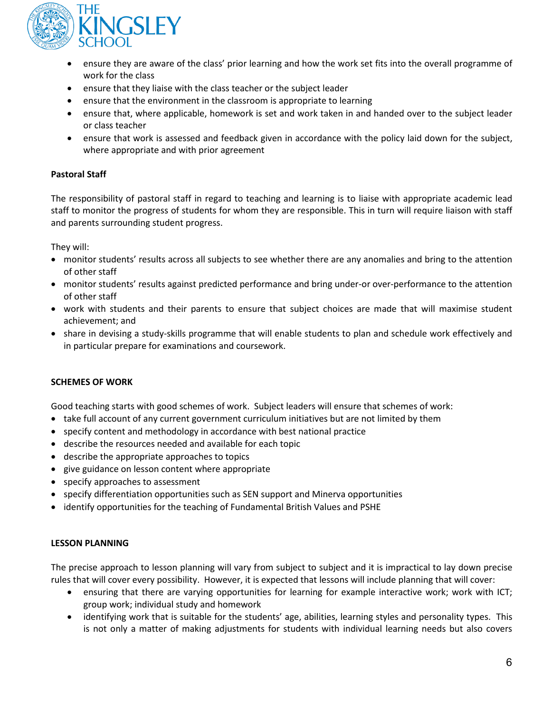

- ensure they are aware of the class' prior learning and how the work set fits into the overall programme of work for the class
- ensure that they liaise with the class teacher or the subject leader
- ensure that the environment in the classroom is appropriate to learning
- ensure that, where applicable, homework is set and work taken in and handed over to the subject leader or class teacher
- ensure that work is assessed and feedback given in accordance with the policy laid down for the subject, where appropriate and with prior agreement

# **Pastoral Staff**

The responsibility of pastoral staff in regard to teaching and learning is to liaise with appropriate academic lead staff to monitor the progress of students for whom they are responsible. This in turn will require liaison with staff and parents surrounding student progress.

They will:

- monitor students' results across all subjects to see whether there are any anomalies and bring to the attention of other staff
- monitor students' results against predicted performance and bring under-or over-performance to the attention of other staff
- work with students and their parents to ensure that subject choices are made that will maximise student achievement; and
- share in devising a study-skills programme that will enable students to plan and schedule work effectively and in particular prepare for examinations and coursework.

# **SCHEMES OF WORK**

Good teaching starts with good schemes of work. Subject leaders will ensure that schemes of work:

- take full account of any current government curriculum initiatives but are not limited by them
- specify content and methodology in accordance with best national practice
- describe the resources needed and available for each topic
- describe the appropriate approaches to topics
- give guidance on lesson content where appropriate
- specify approaches to assessment
- specify differentiation opportunities such as SEN support and Minerva opportunities
- identify opportunities for the teaching of Fundamental British Values and PSHE

# **LESSON PLANNING**

The precise approach to lesson planning will vary from subject to subject and it is impractical to lay down precise rules that will cover every possibility. However, it is expected that lessons will include planning that will cover:

- ensuring that there are varying opportunities for learning for example interactive work; work with ICT; group work; individual study and homework
- identifying work that is suitable for the students' age, abilities, learning styles and personality types. This is not only a matter of making adjustments for students with individual learning needs but also covers